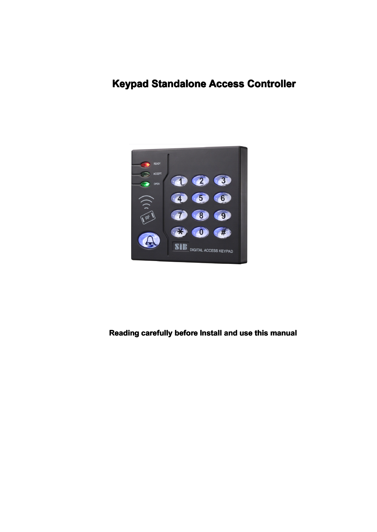# **Keypad Standalone Access Controller**



### **Reading carefully before Install and use this manual**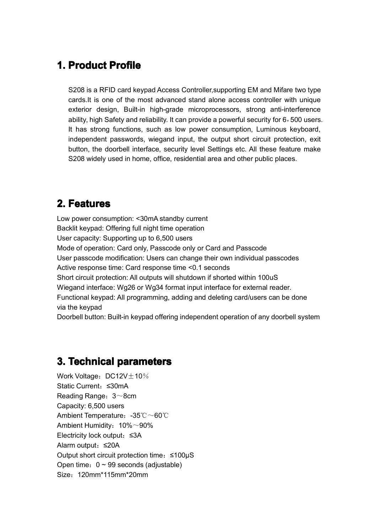## **1. Product Profile**

S208 is <sup>a</sup> RFID card keypad Access Controller,supporting EM and Mifare two type cards.It is one of the most advanced stand alone access controller with unique exterior design, Built-in high-grade microprocessors, strong anti-interference ability, high Safety and reliability. It can provide <sup>a</sup> powerful security for 6,500 users. It has strong functions, such as low power consumption, Luminous keyboard, independent passwords, wiegand input, the output short circuit protection, exit button, the doorbell interface, security level Settings etc. All these feature make S208 widely used in home, office, residential area and other public places.

## **2. Features**

Low power consumption: <30mA standby current Backlit keypad: Offering full night time operation User capacity: Supporting up to 6,500 users Mode of operation: Card only, Passcode only or Card and Passcode User passcode modification: Users can change their own individual passcodes Active response time: Card response time <0.1 seconds Short circuit protection: All outputs will shutdown if shorted within 100uS Wiegand interface: Wg26 or Wg34 format input interface for external reader. Functional keypad: All programming, adding and deleting card/users can be done via the keypad

Doorbell button: Built-in keypad offering independent operation of any doorbell system

# **3. Technical Technical Technical Technical parameters parameters parameters**

Work Voltage:  $DC12V \pm 10\%$ Static Current:≤30mA Reading Range:3~8cm Capacity: 6,500 users Ambient Temperature:-35℃~60℃ Ambient Humidity:  $10\%$ ~90% Electricity lock output:≤3A Alarm output:≤20A Output short circuit protection time:≤100μS Open time:  $0 ~ 99$  seconds (adjustable) Size:120mm\*115mm\*20mm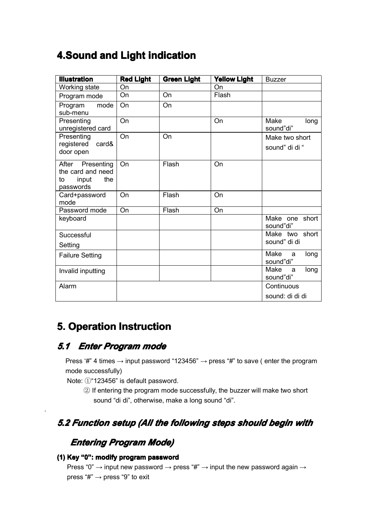# **4.Sound and Light indication**

| <b>Illustration</b>                                                         | <b>Red Light</b> | <b>Green Light</b> | <b>Yellow Light</b> | <b>Buzzer</b>                  |
|-----------------------------------------------------------------------------|------------------|--------------------|---------------------|--------------------------------|
| Working state                                                               | On               |                    | On                  |                                |
| Program mode                                                                | On               | On                 | Flash               |                                |
| Program<br>mode<br>sub-menu                                                 | On               | On                 |                     |                                |
| Presenting<br>unregistered card                                             | On               |                    | <b>On</b>           | Make<br>long<br>sound"di"      |
| Presenting                                                                  | On               | On                 |                     | Make two short                 |
| registered card&<br>door open                                               |                  |                    |                     | sound" di di "                 |
| After<br>Presenting<br>the card and need<br>input<br>the<br>to<br>passwords | On               | Flash              | <b>On</b>           |                                |
| Card+password<br>mode                                                       | <b>On</b>        | Flash              | On                  |                                |
| Password mode                                                               | On               | Flash              | On                  |                                |
| keyboard                                                                    |                  |                    |                     | Make one short<br>sound"di"    |
| Successful                                                                  |                  |                    |                     | Make two short                 |
| Setting                                                                     |                  |                    |                     | sound" di di                   |
| <b>Failure Setting</b>                                                      |                  |                    |                     | Make<br>long<br>a<br>sound"di" |
| Invalid inputting                                                           |                  |                    |                     | Make<br>long<br>a<br>sound"di" |
| Alarm                                                                       |                  |                    |                     | Continuous                     |
|                                                                             |                  |                    |                     | sound: di di di                |

# **5. Operation Instruction**

## *5.1 Enter Program mode*

.

Press '#" 4 times  $\rightarrow$  input password "123456"  $\rightarrow$  press "#" to save ( enter the program mode successfully)

Note: ①"123456" is default password.

② If entering the program mode successfully, the buzzer will make two short sound "di di", otherwise, make <sup>a</sup> long sound "di".

## *5.2 Function setup (All the following steps should begin with*

# *Entering Entering EnteringProgram ProgramProgram Mode)*

### **(1) Key "0": modify program program password password password**

Press "0"  $\rightarrow$  input new password  $\rightarrow$  press "#"  $\rightarrow$  input the new password again  $\rightarrow$ press " $#$ "  $\rightarrow$  press "9" to exit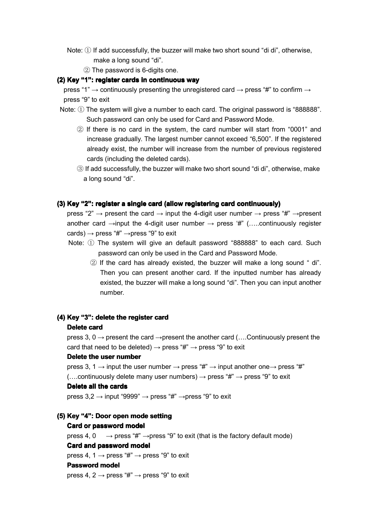- Note:  $\mathbb D$  If add successfully, the buzzer will make two short sound "di di", otherwise, make <sup>a</sup> long sound "di".
	- ② The password is 6-digits one.

#### **(2) Key "1": register cards in continuous way**

press "1"  $\rightarrow$  continuously presenting the unregistered card  $\rightarrow$  press "#" to confirm  $\rightarrow$ press "9" to exit

- Note:  $(i)$  The system will give a number to each card. The original password is "888888". Such password can only be used for Card and Password Mode.
	- ② If there is no card in the system, the card number will start from "0001" and increase gradually. The largest number cannot exceed "6,500". If the registered already exist, the number will increase from the number of previous registered cards (including the deleted cards).
	- ③ If add successfully, the buzzer will make two short sound "di di", otherwise, make <sup>a</sup> long sound "di".

#### **(3) Key "2": register a single card (allow registering card continuously)**

press "2"  $\rightarrow$  present the card  $\rightarrow$  input the 4-digit user number  $\rightarrow$  press "#"  $\rightarrow$  present another card  $\rightarrow$ input the 4-digit user number  $\rightarrow$  press '#" (.....continuously register cards)  $\rightarrow$  press "#"  $\rightarrow$  press "9" to exit

- Note: ① The system will give an default password "888888" to each card. Such password can only be used in the Card and Password Mode.
	- ② If the card has already existed, the buzzer will make <sup>a</sup> long sound " di". Then you can present another card. If the inputted number has already existed, the buzzer will make <sup>a</sup> long sound "di". Then you can input another number.

#### **(4) Key "3": delete the register registerregistercard**

#### **Delete card**

press 3, 0  $\rightarrow$  present the card  $\rightarrow$  present the another card (... Continuously present the card that need to be deleted)  $\rightarrow$  press "#"  $\rightarrow$  press "9" to exit

#### **Delete the user number**

press 3, 1  $\rightarrow$  input the user number  $\rightarrow$  press "#"  $\rightarrow$  input another one  $\rightarrow$  press "#" (....continuously delete many user numbers)  $\rightarrow$  press "#"  $\rightarrow$  press "9" to exit

#### **Delete all the cards**

press  $3,2 \rightarrow$  input "9999"  $\rightarrow$  press "#"  $\rightarrow$  press "9" to exit

#### **(5) Key "4": Door open mode setting setting**

#### **Card or password passwordmodel**

press 4, 0  $\rightarrow$  press "#"  $\rightarrow$  press "9" to exit (that is the factory default mode) **Card and password model**

press 4, 1  $\rightarrow$  press "#"  $\rightarrow$  press "9" to exit

#### **Password model**

press 4, 2  $\rightarrow$  press "#"  $\rightarrow$  press "9" to exit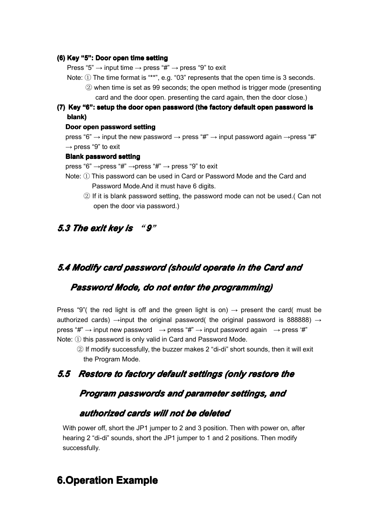#### **(6) Key "5": Door open time setting setting**

Press "5"  $\rightarrow$  input time  $\rightarrow$  press "#"  $\rightarrow$  press "9" to exit

- Note: ① The time format is "\*\*", e.g. "03" represents that the open time is <sup>3</sup> seconds. ② when time is set as <sup>99</sup> seconds; the open method is trigger mode (presenting card and the door open. presenting the card again, then the door close.)
- (7) Key "6": setup the door open password (the factory default open password is **blank)**

#### **Door open password passwordsetting setting**

press "6"  $\rightarrow$  input the new password  $\rightarrow$  press "#"  $\rightarrow$  input password again  $\rightarrow$ press "#"  $\rightarrow$  press "9" to exit

#### **Blank password password setting setting**

press "6"  $\rightarrow$  press "#"  $\rightarrow$  press "#"  $\rightarrow$  press "9" to exit

- Note: ① This password can be used in Card or Password Mode and the Card and Password Mode.And it must have 6 digits.
	- $\circledR$  If it is blank password setting, the password mode can not be used.( Can not open the door via password.)

### *5.3 The exit key is* "*9*"

### *5.4 Modify card password password password(should (should (should (should operate operate operatein the Card and*

### *Password PasswordPasswordMode, do not enter the programming) programming)programming)programming)*

Press "9"( the red light is off and the green light is on)  $\rightarrow$  present the card( must be authorized cards)  $\rightarrow$ input the original password( the original password is 888888)  $\rightarrow$ press " $\sharp$ "  $\to$  input new password  $\to$  press " $\sharp$ "  $\to$  input password again  $\to$  press ' $\sharp$ " Note: ① this password is only valid in Card and Password Mode.

② If modify successfully, the buzzer makes <sup>2</sup> "di-di" short sounds, then it will exit the Program Mode.

### 5.5 Restore to factory default settings (only restore the

### *Program Program passwords passwordspasswordsand parameter parametersettings, settings, settings,and*

### *authorized cards will not be deleted*

With power off, short the JP1 jumper to 2 and 3 position. Then with power on, after hearing 2 "di-di" sounds, short the JP1 jumper to 1 and 2 positions. Then modify successfully.

## **6.Operation 6.Operation 6.Operation Example Example**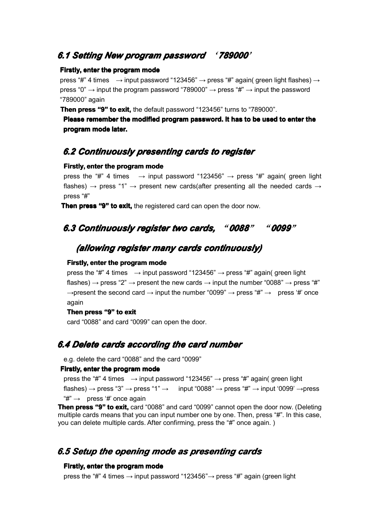### *6.1 Setting Setting SettingSettingNew program program programpassword password passwordpassword* '*789000*'

#### **Firstly, enter the program programmode**

press "#" 4 times  $\rightarrow$  input password "123456"  $\rightarrow$  press "#" again( green light flashes)  $\rightarrow$ press "0"  $\rightarrow$  input the program password "789000"  $\rightarrow$  press "#"  $\rightarrow$  input the password "789000" again

**Then press "9" to exit,** the default password "123456" turns to "789000".

**Please remember the modified modifiedprogram password. password.It has to be used to enter the program programprogram mode later.**

## *6.2 Continuously Continuouslypresenting presenting cards to register register*

#### **Firstly, enter the program mode**

press the "#" 4 times  $\rightarrow$  input password "123456"  $\rightarrow$  press "#" again( green light flashes)  $\rightarrow$  press "1"  $\rightarrow$  present new cards(after presenting all the needed cards  $\rightarrow$ press "#"

**Then press "9" to exit,** the registered card can open the door now.

## *6.3 Continuously register registertwo cards,* "*0088*" "*0099*"

### *(allowing (allowingregister many cards continuously) continuously)*

#### **Firstly, enter the program programmode**

press the "#" 4 times  $\rightarrow$  input password "123456"  $\rightarrow$  press "#" again( green light flashes)  $\rightarrow$  press "2"  $\rightarrow$  present the new cards  $\rightarrow$  input the number "0088"  $\rightarrow$  press "#"  $\rightarrow$ present the second card  $\rightarrow$  input the number "0099"  $\rightarrow$  press "#"  $\rightarrow$  press '#' once again

#### **Then press "9" to exit**

card "0088" and card "0099" can open the door.

### *6.4 Delete cards according the card number*

e.g. delete the card "0088" and the card "0099"

#### **Firstly, Firstly,enter the program mode**

press the "#" 4 times  $\rightarrow$  input password "123456"  $\rightarrow$  press "#" again( green light flashes)  $\rightarrow$  press "3"  $\rightarrow$  press "1"  $\rightarrow$  input "0088"  $\rightarrow$  press "#"  $\rightarrow$  input '0099'  $\rightarrow$  press  $H^* \rightarrow$  press '#' once again

**Then press "9" to exit,** card "0088" and card "0099" cannot open the door now. (Deleting multiple cards means that you can input number one by one. Then, press "#". In this case, you can delete multiple cards. After confirming, press the "#" once again. )

## *6.5 Setup the opening opening mode as presenting presenting presenting presenting cards*

#### **Firstly, Firstly, enter the program programmode**

press the "#" 4 times  $\rightarrow$  input password "123456" $\rightarrow$  press "#" again (green light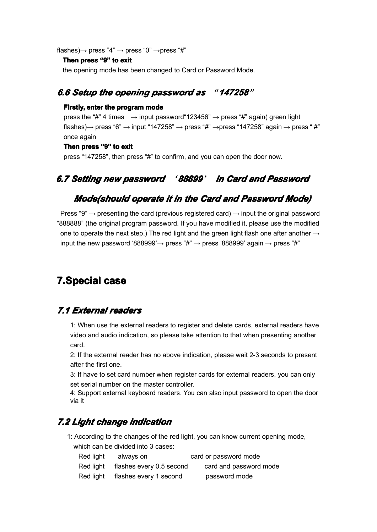flashes) $\rightarrow$  press "4"  $\rightarrow$  press "0"  $\rightarrow$  press "#"

#### **Then press "9" to exit**

the opening mode has been changed to Card or Password Mode.

## *6.6 Setup the opening password password as* "*147258*"

#### **Firstly, Firstly, enter the program programmode**

press the "#" 4 times  $\rightarrow$  input password"123456"  $\rightarrow$  press "#" again( green light flashes) $\rightarrow$  press "6"  $\rightarrow$  input "147258"  $\rightarrow$  press "#"  $\rightarrow$  press "147258" again  $\rightarrow$  press "#" once again

#### **Then press "9" to exit**

press "147258", then press "#" to confirm, and you can open the door now.

## *6.7 Setting new password password* '*88899*' *in Card and Password Password*

### *Mode(should Mode(should operate operate operateoperateit in the Card and Password Password Mode)*

Press "9"  $\rightarrow$  presenting the card (previous registered card)  $\rightarrow$  input the original password "888888" (the original program password. If you have modified it, please use the modified one to operate the next step.) The red light and the green light flash one after another  $\rightarrow$ input the new password '888999'  $\rightarrow$  press "#"  $\rightarrow$  press '888999' again  $\rightarrow$  press "#"

# **7.Special 7.Special case**

## *7.1 External External Externalreaders readers*

1: When use the external readers to register and delete cards, external readers have video and audio indication, so please take attention to that when presenting another card.

2: If the external reader has no above indication, please wait 2-3 seconds to present after the first one.

3: If have to set card number when register cards for external readers, you can only set serial number on the master controller.

4: Support external keyboard readers. You can also input password to open the door via it

## *7.2 Light change indication indication indicationindication*

1: According to the changes of the red light, you can know current opening mode, which can be divided into 3 cases:

| Red light | always on                | card or password mode  |
|-----------|--------------------------|------------------------|
| Red light | flashes every 0.5 second | card and password mode |
| Red light | flashes every 1 second   | password mode          |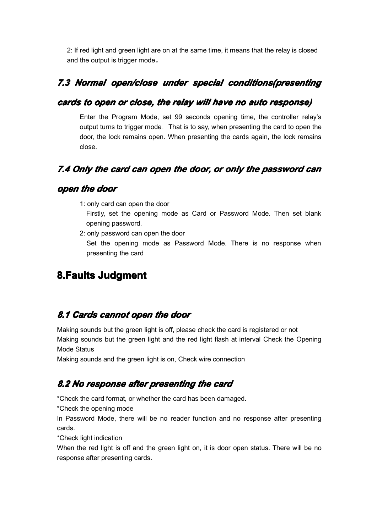2: If red light and green light are on at the same time, it means that the relay is closed and the output is trigger mode。

## 7.3 Normal open/close under special conditions(presenting

### *cards to open or close, the relay will have no auto response) response)*

Enter the Program Mode, set 99 seconds opening time, the controller relay's output turns to trigger mode。That is to say, when presenting the card to open the door, the lock remains open. When presenting the cards again, the lock remains close.

## *7.4 Only the card can open the door, or only the password password password password can*

### *open the door*

1: only card can open the door

Firstly, set the opening mode as Card or Password Mode. Then set blank opening password.

2: only password can open the door

Set the opening mode as Password Mode. There is no response when presenting the card

# **8.Faults Judgment**

## *8.1 Cards cannot open the door*

Making sounds but the green light is off, please check the card is registered or not Making sounds but the green light and the red light flash at interval Check the Opening Mode Status

Making sounds and the green light is on, Check wire connection

## *8.2 No response responseafter presenting presentingthe card*

\*Check the card format, or whether the card has been damaged.

\*Check the opening mode

In Password Mode, there will be no reader function and no response after presenting cards.

\*Check light indication

When the red light is off and the green light on, it is door open status. There will be no response after presenting cards.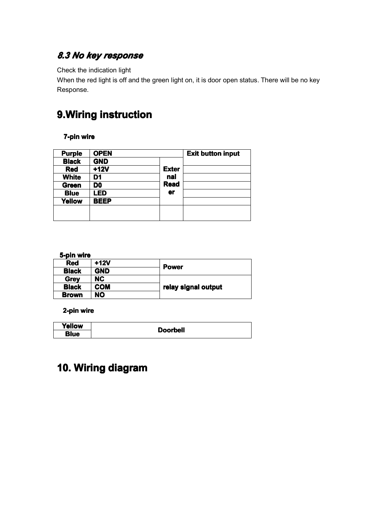# *8.3 No key response*

### Check the indication light

When the red light is off and the green light on, it is door open status. There will be no key Response.

# **9.Wiring instruction**

### **7-pin wire**

| <b>Purple</b> | <b>OPEN</b>    |              | <b>Exit button input</b> |
|---------------|----------------|--------------|--------------------------|
| <b>Black</b>  | <b>GND</b>     |              |                          |
| <b>Red</b>    | $+12V$         | <b>Exter</b> |                          |
| <b>White</b>  | D1             | nal          |                          |
| Green         | D <sub>0</sub> | <b>Read</b>  |                          |
| <b>Blue</b>   | <b>LED</b>     | <b>er</b>    |                          |
| <b>Yellow</b> | <b>BEEP</b>    |              |                          |
|               |                |              |                          |
|               |                |              |                          |

#### **5-pin wire**

| <b>Red</b>                 | $+12V$     | <b>Power</b>        |  |
|----------------------------|------------|---------------------|--|
| <b>Black</b>               | <b>GND</b> |                     |  |
| <b>Grey</b>                | NC.        |                     |  |
| <b>Black</b><br><b>COM</b> |            | relay signal output |  |
| <b>Brown</b>               | NO         |                     |  |

### **2-pin wire**

| Yellow | <b>Doorbell</b> |
|--------|-----------------|
| Blue   |                 |

# **10. Wiring diagram diagram**